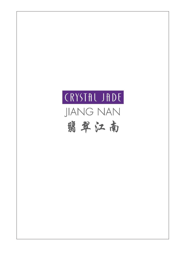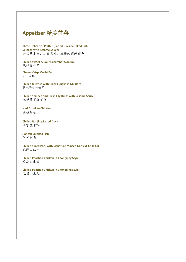# **Appetiser** 精美前菜

**Three Delicacies Platter (Salted Duck, Smoked Fish, Spinach with Sesame Sauce)** 南京盐水鸭、江苏熏鱼、麻酱波菜鲜百合

**Chilled Sweet & Sour Cucumber Skin Roll** 酸甜青瓜帘

**Cheesy Crisp Mochi Ball** 芝士汤圆

**Chilled Jellyfish with Black Fungus in Mustard** 芥末海蜇拌云耳

**Chilled Spinach and Fresh Lily Bulbs with Sesame Sauce** 麻酱菠菜鲜百合

**Iced Drunken Chicken** 冰镇醉鸡

**Chilled Nanjing Salted Duck** 南京盐水鸭

**Jiangsu Smoked Fish** 江苏熏鱼

**Chilled Sliced Pork with Signature Minced Garlic & Chilli Oil** 蒜泥白切肉

**Chilled Poached Chicken in Chongqing Style** 重庆口水鸡

**Chilled Poached Chicken in Chongqing Style** 无锡小鱼儿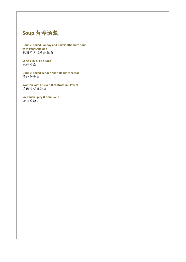

**Double-boiled Conpoy and Chrysanthemum Soup with Pearl Abalone** 杭菊干贝炖珍珠鲍鱼

**Song's Thick Fish Soup** 宋嫂鱼羮

**Double-boiled Tender "Lion Head" Meatball** 清炖狮子头

**Wanton with Chicken Rich Broth in Claypot** 浓汤砂锅馄饨鸡

**SzeChuan Spicy & Sour Soup** 四川酸辣汤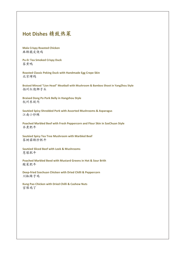# **Hot Dishes** 精致热菜

**Mala Crispy Roasted Chicken** 麻辣脆皮烧鸡

**Pu-Er Tea Smoked Crispy Duck** 茶熏鸭

**Roasted Classic Peking Duck with Handmade Egg Crepe Skin** 北京烤鸭

**Braised Minced "Lion Head" Meatball with Mushroom & Bamboo Shoot in YangZhou Style** 扬州红烧狮子头

**Braised Dong Po Pork Belly in Hangzhou Style** 杭州东坡肉

**Sautéed Spicy Shredded Pork with Assorted Mushrooms & Asparagus** 江南小炒辣

**Poached Marbled Beef with Fresh Peppercorn and Flour Skin in SzeChuan Style** 水煮肥牛

**Sautéed Spicy Tea Tree Mushroom with Marbled Beef** 茶树菇辣炒肥牛

**Sautéed Sliced Beef with Leek & Mushrooms** 䓤爆肥牛

**Poached Marbled Beed with Mustard Greens in Hot & Sour Brith** 酸菜肥牛

**Deep-fried Szechuan Chicken with Dried Chilli & Peppercorn** 川椒辣子鸡

**Kung Pao Chicken with Dried Chilli & Cashew Nuts** 宫保鸡丁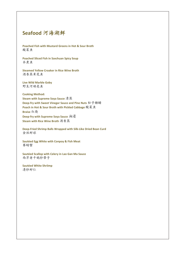# **Seafood** 河海湖鲜

**Poached Fish with Mustard Greens in Hot & Sour Broth** 酸菜鱼

**Poached Sliced Fish in Szechuan Spicy Soup** 水煮鱼

**Steamed Yellow Croaker in Rice Wine Broth** 酒香蒸黃花鱼

**Live Wild Marble Goby** 野生河顺壳鱼

**Cooking Method: Steam with Supreme Soya Sauce** 清蒸 **Deep-fry with Sweet Vinegar Sauce and Pine Nuts** 松子糖醋 **Poach in Hot & Sour Broth with Pickled Cabbage** 酸菜鱼 **Braise** 红烧 **Deep-fry with Supreme Soya Sauce** 油浸 **Steam with Rice Wine Broth** 酒香蒸

**Deep-Fried Shrimp Balls Wrapped with Silk-Like Dried Bean Curd** 金丝虾球

**Sautéed Egg White with Conpoy & Fish Meat** 赛螃蟹

**Sautéed Scallop with Celery in Lao Gan Ma Sauce** 西芹老干妈炒带子

**Sautéed White Shriimp** 清炒虾仁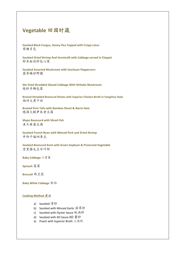### **Vegetable** 田园时蔬

**Sautéed Black Fungus, Honey Pea Topped with Crispy Lotus** 荷塘月色

**Sautéed Dried Shrimp And Vermicelli with Cabbage served in Claypot** 虾米粉丝炒包心菜

**Sautéed Assorted Mushroom with Szechuan Peppercorn** 翡翠辣炒野菌

**Stir-fried Shredded Glazed Cabbage With Shiitake Mushroom** 炝炒手撕包菜

**Braised Shredded Beancurd Sheets with Superior Chicken Broth in Yangzhou Style** 扬洲大煮干丝

**Braised Firm Tofu with Bamboo Shoot & Iberio Ham** 随园火腿笋衣老豆腐

**Mapo Beancurd with Sliced Fish** 鱼片麻婆豆腐

**Sautéed French Bean with Minced Pork and Dried Shrimp** 开阳干煸四季豆

**Sautéed Beancurd Knot with Green Soybean & Preserved Vegetable** 雪里蕻毛豆百叶结

**Baby Cabbage** 小棠菜

**Spinach** 菠菜

**Broccoli** 西兰花

**Baby White Cabbage** 奶白

#### **Cooking Method** 煮法

- a) Sautéed 清炒
- b) Sautéed with Minced Garlic 蒜茸炒
- c) Sautéed with Oyster Sauce 蚝油炒
- d) Sautéed with XO Sauce XO 酱炒
- e) Poach with Superior Broth 上汤灼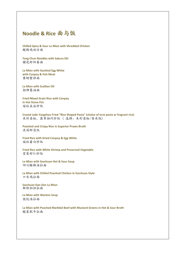## **Noodle & Rice** 面与饭

**Chilled Spicy & Sour La Mian with Shredded Chicken** 酸辣鸡丝冷面

**Yang Chun Noodles with Sakura Ebi** 樱花虾阳春面

**La Mian with Sautéed Egg White with Conpoy & Fish Meat** 赛螃蟹拌面

**La Mian with Scallion Oil** 招牌葱油面

**Fried Mixed Grain Rice with Conpoy in Hot Stone Pot** 瑶柱五谷炒饭

**Crystal Jade Yangzhou Fried "Rice Shaped Pasta" (choice of orzo pasta or fragrant rice)** 米形意粉,翡翠扬州炒饭 ( 选择:米形意粉/香米饭)

**Poached and Crispy Rice in Superior Prawn Broth** 浓汤虾泡饭

**Fried Rice with Dried Conpoy & Egg White** 瑶柱蛋白炒饭

**Fried Rice with White Shrimp and Preserved Vegetable** 雪菜虾仁炒饭

**La Mian with Szechuan Hot & Sour Soup**  四川酸辣汤拉面

**La Mian with Chilled Poached Chicken in Szechuan Style** 口水鸡拉面

**Szechuan Dan Dan La Mian** 鲜虾担担拉面

**La Mian with Wanton Soup**  馄饨汤拉面

**La Mian with Poached Marbled Beef with Mustard Greens in Hot & Sour Broth** 酸菜肥牛拉面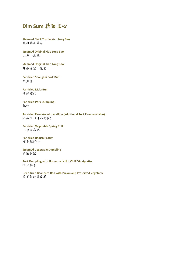

**Steamed Black Truffle Xiao Long Bao** 黑松露小笼包

**Steamed Original Xiao Long Bao** 上海小笼包

**Steamed Original Xiao Long Bao** 辣椒螃蟹小笼包

**Pan-fried Shanghai Pork Bun** 生煎包

**Pan-fried Mala Bun** 麻辣煎包

**Pan-fried Pork Dumpling** 锅贴

**Pan-fried Pancake with scallion (additional Pork Floss available)** 手抓饼 (可加肉松)

**Pan-fried Vegetable Spring Roll** 三娘家春卷

**Pan-fried Radish Pastry** 萝卜丝酥饼

**Steamed Vegetable Dumpling** 素菜蒸饺

**Pork Dumpling with Homemade Hot Chilli Vinaigrette** 红油抽手

**Deep-fried Beancurd Roll with Prawn and Preserved Vegetable** 雪菜鲜虾腐皮卷